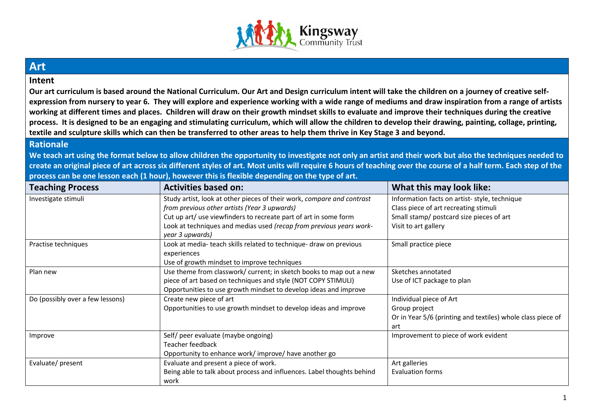

## **Art**

## **Intent**

**Our art curriculum is based around the National Curriculum. Our Art and Design curriculum intent will take the children on a journey of creative selfexpression from nursery to year 6. They will explore and experience working with a wide range of mediums and draw inspiration from a range of artists working at different times and places. Children will draw on their growth mindset skills to evaluate and improve their techniques during the creative process. It is designed to be an engaging and stimulating curriculum, which will allow the children to develop their drawing, painting, collage, printing, textile and sculpture skills which can then be transferred to other areas to help them thrive in Key Stage 3 and beyond.**

## **Rationale**

**We teach art using the format below to allow children the opportunity to investigate not only an artist and their work but also the techniques needed to create an original piece of art across six different styles of art. Most units will require 6 hours of teaching over the course of a half term. Each step of the process can be one lesson each (1 hour), however this is flexible depending on the type of art.**

| <b>Teaching Process</b>          | <b>Activities based on:</b>                                            | What this may look like:                                    |
|----------------------------------|------------------------------------------------------------------------|-------------------------------------------------------------|
| Investigate stimuli              | Study artist, look at other pieces of their work, compare and contrast | Information facts on artist-style, technique                |
|                                  | from previous other artists (Year 3 upwards)                           | Class piece of art recreating stimuli                       |
|                                  | Cut up art/ use viewfinders to recreate part of art in some form       | Small stamp/ postcard size pieces of art                    |
|                                  | Look at techniques and medias used (recap from previous years work-    | Visit to art gallery                                        |
|                                  | year 3 upwards)                                                        |                                                             |
| Practise techniques              | Look at media- teach skills related to technique- draw on previous     | Small practice piece                                        |
|                                  | experiences                                                            |                                                             |
|                                  | Use of growth mindset to improve techniques                            |                                                             |
| Plan new                         | Use theme from classwork/ current; in sketch books to map out a new    | Sketches annotated                                          |
|                                  | piece of art based on techniques and style (NOT COPY STIMULI)          | Use of ICT package to plan                                  |
|                                  | Opportunities to use growth mindset to develop ideas and improve       |                                                             |
| Do (possibly over a few lessons) | Create new piece of art                                                | Individual piece of Art                                     |
|                                  | Opportunities to use growth mindset to develop ideas and improve       | Group project                                               |
|                                  |                                                                        | Or in Year 5/6 (printing and textiles) whole class piece of |
|                                  |                                                                        | art                                                         |
| Improve                          | Self/ peer evaluate (maybe ongoing)                                    | Improvement to piece of work evident                        |
|                                  | Teacher feedback                                                       |                                                             |
|                                  | Opportunity to enhance work/improve/have another go                    |                                                             |
| Evaluate/present                 | Evaluate and present a piece of work.                                  | Art galleries                                               |
|                                  | Being able to talk about process and influences. Label thoughts behind | <b>Evaluation forms</b>                                     |
|                                  | work                                                                   |                                                             |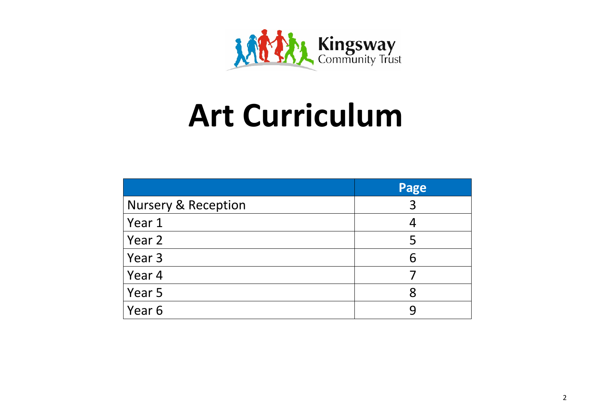

## **Art Curriculum**

|                                | Page |
|--------------------------------|------|
| <b>Nursery &amp; Reception</b> | 3    |
| Year 1                         |      |
| Year 2                         | 5    |
| Year 3                         | 6    |
| Year 4                         |      |
| Year 5                         | 8    |
| Year 6                         |      |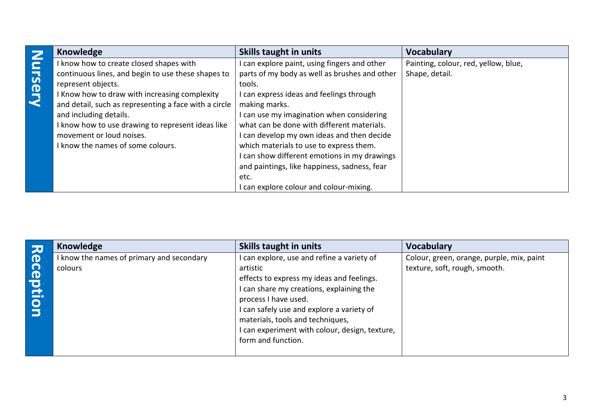|        | Knowledge                                             | Skills taught in units                        | <b>Vocabulary</b>                    |
|--------|-------------------------------------------------------|-----------------------------------------------|--------------------------------------|
|        | I know how to create closed shapes with               | can explore paint, using fingers and other    | Painting, colour, red, yellow, blue, |
| ursery | continuous lines, and begin to use these shapes to    | parts of my body as well as brushes and other | Shape, detail.                       |
|        | represent objects.                                    | tools.                                        |                                      |
|        | I Know how to draw with increasing complexity         | can express ideas and feelings through        |                                      |
|        | and detail, such as representing a face with a circle | making marks.                                 |                                      |
|        | and including details.                                | can use my imagination when considering       |                                      |
|        | I know how to use drawing to represent ideas like     | what can be done with different materials.    |                                      |
|        | movement or loud noises.                              | can develop my own ideas and then decide      |                                      |
|        | I know the names of some colours.                     | which materials to use to express them.       |                                      |
|        |                                                       | can show different emotions in my drawings    |                                      |
|        |                                                       | and paintings, like happiness, sadness, fear  |                                      |
|        |                                                       | etc.                                          |                                      |
|        |                                                       | can explore colour and colour-mixing.         |                                      |

|                                                       | <b>Knowledge</b>                                     | <b>Skills taught in units</b>                                                                                                                                                                                                                                                                                                    | <b>Vocabulary</b>                                                          |
|-------------------------------------------------------|------------------------------------------------------|----------------------------------------------------------------------------------------------------------------------------------------------------------------------------------------------------------------------------------------------------------------------------------------------------------------------------------|----------------------------------------------------------------------------|
| $\mathbf \Phi$<br><u> ဂ</u><br><b>Pd</b><br>$\bullet$ | I know the names of primary and secondary<br>colours | I can explore, use and refine a variety of<br>artistic<br>effects to express my ideas and feelings.<br>I can share my creations, explaining the<br>process I have used.<br>I can safely use and explore a variety of<br>materials, tools and techniques,<br>I can experiment with colour, design, texture,<br>form and function. | Colour, green, orange, purple, mix, paint<br>texture, soft, rough, smooth. |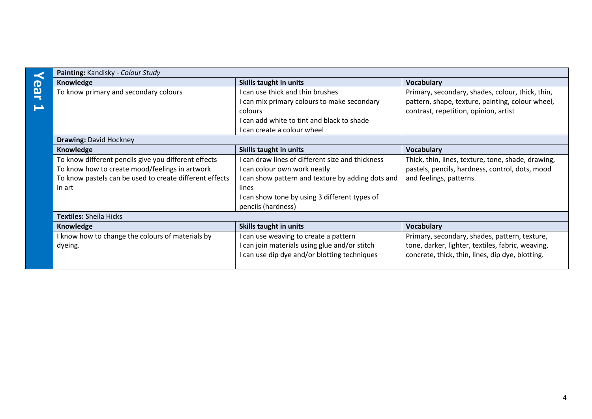| O |
|---|
| Л |
|   |
|   |

| Painting: Kandisky - Colour Study                       |                                                   |                                                    |  |  |
|---------------------------------------------------------|---------------------------------------------------|----------------------------------------------------|--|--|
| Knowledge                                               | Skills taught in units                            | <b>Vocabulary</b>                                  |  |  |
| To know primary and secondary colours                   | I can use thick and thin brushes                  | Primary, secondary, shades, colour, thick, thin,   |  |  |
|                                                         | I can mix primary colours to make secondary       | pattern, shape, texture, painting, colour wheel,   |  |  |
|                                                         | colours                                           | contrast, repetition, opinion, artist              |  |  |
|                                                         | I can add white to tint and black to shade        |                                                    |  |  |
|                                                         | I can create a colour wheel                       |                                                    |  |  |
| <b>Drawing: David Hockney</b>                           |                                                   |                                                    |  |  |
| Knowledge                                               | <b>Skills taught in units</b>                     | <b>Vocabulary</b>                                  |  |  |
| To know different pencils give you different effects    | I can draw lines of different size and thickness  | Thick, thin, lines, texture, tone, shade, drawing, |  |  |
| To know how to create mood/feelings in artwork          | I can colour own work neatly                      | pastels, pencils, hardness, control, dots, mood    |  |  |
| To know pastels can be used to create different effects | I can show pattern and texture by adding dots and | and feelings, patterns.                            |  |  |
| in art                                                  | lines                                             |                                                    |  |  |
|                                                         | I can show tone by using 3 different types of     |                                                    |  |  |
|                                                         | pencils (hardness)                                |                                                    |  |  |
| <b>Textiles: Sheila Hicks</b>                           |                                                   |                                                    |  |  |
| Knowledge                                               | Skills taught in units                            | <b>Vocabulary</b>                                  |  |  |
| I know how to change the colours of materials by        | I can use weaving to create a pattern             | Primary, secondary, shades, pattern, texture,      |  |  |
| dyeing.                                                 | I can join materials using glue and/or stitch     | tone, darker, lighter, textiles, fabric, weaving,  |  |  |
|                                                         | can use dip dye and/or blotting techniques        | concrete, thick, thin, lines, dip dye, blotting.   |  |  |
|                                                         |                                                   |                                                    |  |  |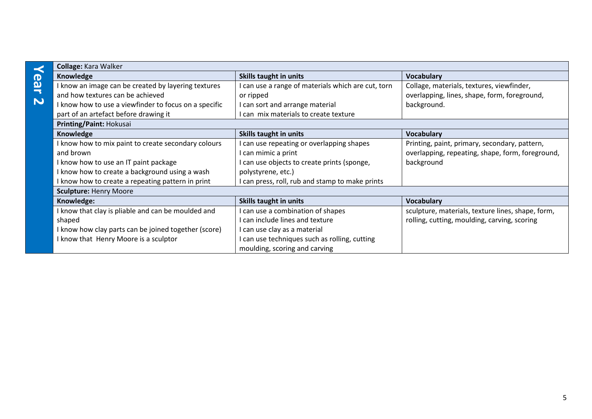|                         | Collage: Kara Walker                                  |                                                    |                                                   |
|-------------------------|-------------------------------------------------------|----------------------------------------------------|---------------------------------------------------|
|                         | Knowledge                                             | Skills taught in units                             | <b>Vocabulary</b>                                 |
| ear                     | I know an image can be created by layering textures   | I can use a range of materials which are cut, torn | Collage, materials, textures, viewfinder,         |
|                         | and how textures can be achieved                      | or ripped                                          | overlapping, lines, shape, form, foreground,      |
| $\overline{\mathbf{v}}$ | I know how to use a viewfinder to focus on a specific | I can sort and arrange material                    | background.                                       |
|                         | part of an artefact before drawing it                 | I can mix materials to create texture              |                                                   |
|                         | Printing/Paint: Hokusai                               |                                                    |                                                   |
|                         | Knowledge                                             | Skills taught in units                             | <b>Vocabulary</b>                                 |
|                         | I know how to mix paint to create secondary colours   | I can use repeating or overlapping shapes          | Printing, paint, primary, secondary, pattern,     |
|                         | and brown                                             | I can mimic a print                                | overlapping, repeating, shape, form, foreground,  |
|                         | I know how to use an IT paint package                 | can use objects to create prints (sponge,          | background                                        |
|                         | I know how to create a background using a wash        | polystyrene, etc.)                                 |                                                   |
|                         | I know how to create a repeating pattern in print     | I can press, roll, rub and stamp to make prints    |                                                   |
|                         | <b>Sculpture: Henry Moore</b>                         |                                                    |                                                   |
|                         | Knowledge:                                            | Skills taught in units                             | <b>Vocabulary</b>                                 |
|                         | I know that clay is pliable and can be moulded and    | I can use a combination of shapes                  | sculpture, materials, texture lines, shape, form, |
|                         | shaped                                                | I can include lines and texture                    | rolling, cutting, moulding, carving, scoring      |
|                         | I know how clay parts can be joined together (score)  | I can use clay as a material                       |                                                   |
|                         | I know that Henry Moore is a sculptor                 | I can use techniques such as rolling, cutting      |                                                   |
|                         |                                                       | moulding, scoring and carving                      |                                                   |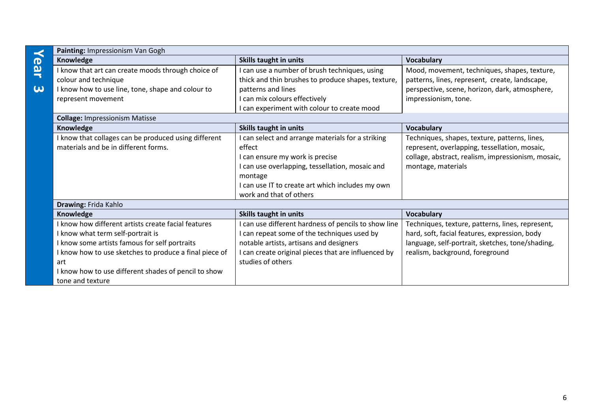|                       | Painting: Impressionism Van Gogh                       |                                                      |                                                    |
|-----------------------|--------------------------------------------------------|------------------------------------------------------|----------------------------------------------------|
|                       | Knowledge                                              | <b>Skills taught in units</b>                        | <b>Vocabulary</b>                                  |
| <b>ear</b>            | I know that art can create moods through choice of     | I can use a number of brush techniques, using        | Mood, movement, techniques, shapes, texture,       |
|                       | colour and technique                                   | thick and thin brushes to produce shapes, texture,   | patterns, lines, represent, create, landscape,     |
| $\boldsymbol{\omega}$ | I know how to use line, tone, shape and colour to      | patterns and lines                                   | perspective, scene, horizon, dark, atmosphere,     |
|                       | represent movement                                     | I can mix colours effectively                        | impressionism, tone.                               |
|                       |                                                        | I can experiment with colour to create mood          |                                                    |
|                       | <b>Collage: Impressionism Matisse</b>                  |                                                      |                                                    |
|                       | Knowledge                                              | <b>Skills taught in units</b>                        | <b>Vocabulary</b>                                  |
|                       | I know that collages can be produced using different   | I can select and arrange materials for a striking    | Techniques, shapes, texture, patterns, lines,      |
|                       | materials and be in different forms.                   | effect                                               | represent, overlapping, tessellation, mosaic,      |
|                       |                                                        | I can ensure my work is precise                      | collage, abstract, realism, impressionism, mosaic, |
|                       |                                                        | I can use overlapping, tessellation, mosaic and      | montage, materials                                 |
|                       |                                                        | montage                                              |                                                    |
|                       |                                                        | I can use IT to create art which includes my own     |                                                    |
|                       |                                                        | work and that of others                              |                                                    |
|                       | Drawing: Frida Kahlo                                   |                                                      |                                                    |
|                       | Knowledge                                              | Skills taught in units                               | <b>Vocabulary</b>                                  |
|                       | I know how different artists create facial features    | I can use different hardness of pencils to show line | Techniques, texture, patterns, lines, represent,   |
|                       | I know what term self-portrait is                      | I can repeat some of the techniques used by          | hard, soft, facial features, expression, body      |
|                       | I know some artists famous for self portraits          | notable artists, artisans and designers              | language, self-portrait, sketches, tone/shading,   |
|                       | I know how to use sketches to produce a final piece of | I can create original pieces that are influenced by  | realism, background, foreground                    |
|                       | art                                                    | studies of others                                    |                                                    |
|                       | I know how to use different shades of pencil to show   |                                                      |                                                    |
|                       | tone and texture                                       |                                                      |                                                    |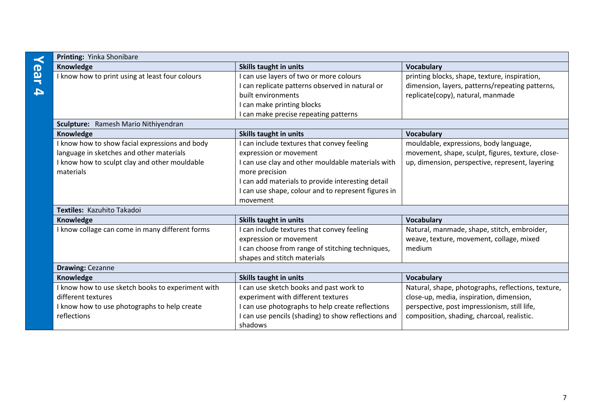|                         | Printing: Yinka Shonibare                                                                  |                                                                                            |                                                                                                      |  |  |
|-------------------------|--------------------------------------------------------------------------------------------|--------------------------------------------------------------------------------------------|------------------------------------------------------------------------------------------------------|--|--|
|                         | Knowledge                                                                                  | Skills taught in units                                                                     | <b>Vocabulary</b>                                                                                    |  |  |
| ear<br>$\blacktriangle$ | I know how to print using at least four colours                                            | I can use layers of two or more colours<br>I can replicate patterns observed in natural or | printing blocks, shape, texture, inspiration,<br>dimension, layers, patterns/repeating patterns,     |  |  |
|                         |                                                                                            | built environments                                                                         | replicate(copy), natural, manmade                                                                    |  |  |
|                         |                                                                                            | I can make printing blocks                                                                 |                                                                                                      |  |  |
|                         |                                                                                            | I can make precise repeating patterns                                                      |                                                                                                      |  |  |
|                         | Sculpture: Ramesh Mario Nithiyendran                                                       | Skills taught in units                                                                     | <b>Vocabulary</b>                                                                                    |  |  |
|                         | Knowledge                                                                                  |                                                                                            |                                                                                                      |  |  |
|                         | I know how to show facial expressions and body<br>language in sketches and other materials | I can include textures that convey feeling<br>expression or movement                       | mouldable, expressions, body language,                                                               |  |  |
|                         | I know how to sculpt clay and other mouldable                                              | I can use clay and other mouldable materials with                                          | movement, shape, sculpt, figures, texture, close-<br>up, dimension, perspective, represent, layering |  |  |
|                         | materials                                                                                  | more precision                                                                             |                                                                                                      |  |  |
|                         |                                                                                            | I can add materials to provide interesting detail                                          |                                                                                                      |  |  |
|                         |                                                                                            | I can use shape, colour and to represent figures in                                        |                                                                                                      |  |  |
|                         |                                                                                            | movement                                                                                   |                                                                                                      |  |  |
|                         | Textiles: Kazuhito Takadoi                                                                 |                                                                                            |                                                                                                      |  |  |
|                         | Knowledge                                                                                  | Skills taught in units                                                                     | <b>Vocabulary</b>                                                                                    |  |  |
|                         | I know collage can come in many different forms                                            | I can include textures that convey feeling                                                 | Natural, manmade, shape, stitch, embroider,                                                          |  |  |
|                         |                                                                                            | expression or movement                                                                     | weave, texture, movement, collage, mixed                                                             |  |  |
|                         |                                                                                            | I can choose from range of stitching techniques,                                           | medium                                                                                               |  |  |
|                         |                                                                                            | shapes and stitch materials                                                                |                                                                                                      |  |  |
|                         | <b>Drawing: Cezanne</b>                                                                    |                                                                                            |                                                                                                      |  |  |
|                         | Knowledge                                                                                  | Skills taught in units                                                                     | <b>Vocabulary</b>                                                                                    |  |  |
|                         | I know how to use sketch books to experiment with                                          | I can use sketch books and past work to                                                    | Natural, shape, photographs, reflections, texture,                                                   |  |  |
|                         | different textures                                                                         | experiment with different textures                                                         | close-up, media, inspiration, dimension,                                                             |  |  |
|                         | I know how to use photographs to help create                                               | I can use photographs to help create reflections                                           | perspective, post impressionism, still life,                                                         |  |  |
|                         | reflections                                                                                | I can use pencils (shading) to show reflections and                                        | composition, shading, charcoal, realistic.                                                           |  |  |
|                         |                                                                                            | shadows                                                                                    |                                                                                                      |  |  |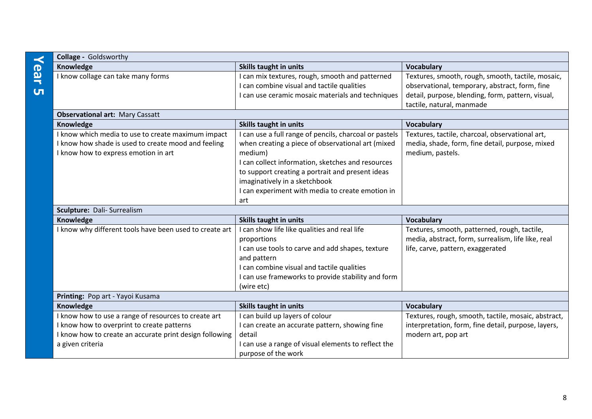|              | Knowledge                                               | Skills taught in units                                                     | <b>Vocabulary</b>                                   |  |
|--------------|---------------------------------------------------------|----------------------------------------------------------------------------|-----------------------------------------------------|--|
| ear          | I know collage can take many forms                      | can mix textures, rough, smooth and patterned                              | Textures, smooth, rough, smooth, tactile, mosaic,   |  |
|              |                                                         | I can combine visual and tactile qualities                                 | observational, temporary, abstract, form, fine      |  |
| $\mathbf{u}$ |                                                         | I can use ceramic mosaic materials and techniques                          | detail, purpose, blending, form, pattern, visual,   |  |
|              |                                                         |                                                                            | tactile, natural, manmade                           |  |
|              | <b>Observational art: Mary Cassatt</b>                  |                                                                            |                                                     |  |
|              | Knowledge                                               | Skills taught in units                                                     | <b>Vocabulary</b>                                   |  |
|              | I know which media to use to create maximum impact      | I can use a full range of pencils, charcoal or pastels                     | Textures, tactile, charcoal, observational art,     |  |
|              | I know how shade is used to create mood and feeling     | when creating a piece of observational art (mixed                          | media, shade, form, fine detail, purpose, mixed     |  |
|              | I know how to express emotion in art                    | medium)                                                                    | medium, pastels.                                    |  |
|              |                                                         | I can collect information, sketches and resources                          |                                                     |  |
|              |                                                         | to support creating a portrait and present ideas                           |                                                     |  |
|              |                                                         | imaginatively in a sketchbook                                              |                                                     |  |
|              |                                                         | I can experiment with media to create emotion in                           |                                                     |  |
|              |                                                         | art                                                                        |                                                     |  |
|              | Sculpture: Dali- Surrealism                             |                                                                            |                                                     |  |
|              | Knowledge                                               | Skills taught in units                                                     | <b>Vocabulary</b>                                   |  |
|              | I know why different tools have been used to create art | I can show life like qualities and real life                               | Textures, smooth, patterned, rough, tactile,        |  |
|              |                                                         | proportions                                                                | media, abstract, form, surrealism, life like, real  |  |
|              |                                                         | I can use tools to carve and add shapes, texture                           | life, carve, pattern, exaggerated                   |  |
|              |                                                         | and pattern                                                                |                                                     |  |
|              |                                                         |                                                                            |                                                     |  |
|              |                                                         | I can combine visual and tactile qualities                                 |                                                     |  |
|              |                                                         | I can use frameworks to provide stability and form                         |                                                     |  |
|              |                                                         | (wire etc)                                                                 |                                                     |  |
|              | Printing: Pop art - Yayoi Kusama                        |                                                                            |                                                     |  |
|              | Knowledge                                               | <b>Skills taught in units</b>                                              | <b>Vocabulary</b>                                   |  |
|              | I know how to use a range of resources to create art    | I can build up layers of colour                                            | Textures, rough, smooth, tactile, mosaic, abstract, |  |
|              | I know how to overprint to create patterns              | I can create an accurate pattern, showing fine                             | interpretation, form, fine detail, purpose, layers, |  |
|              | I know how to create an accurate print design following | detail                                                                     | modern art, pop art                                 |  |
|              | a given criteria                                        | I can use a range of visual elements to reflect the<br>purpose of the work |                                                     |  |